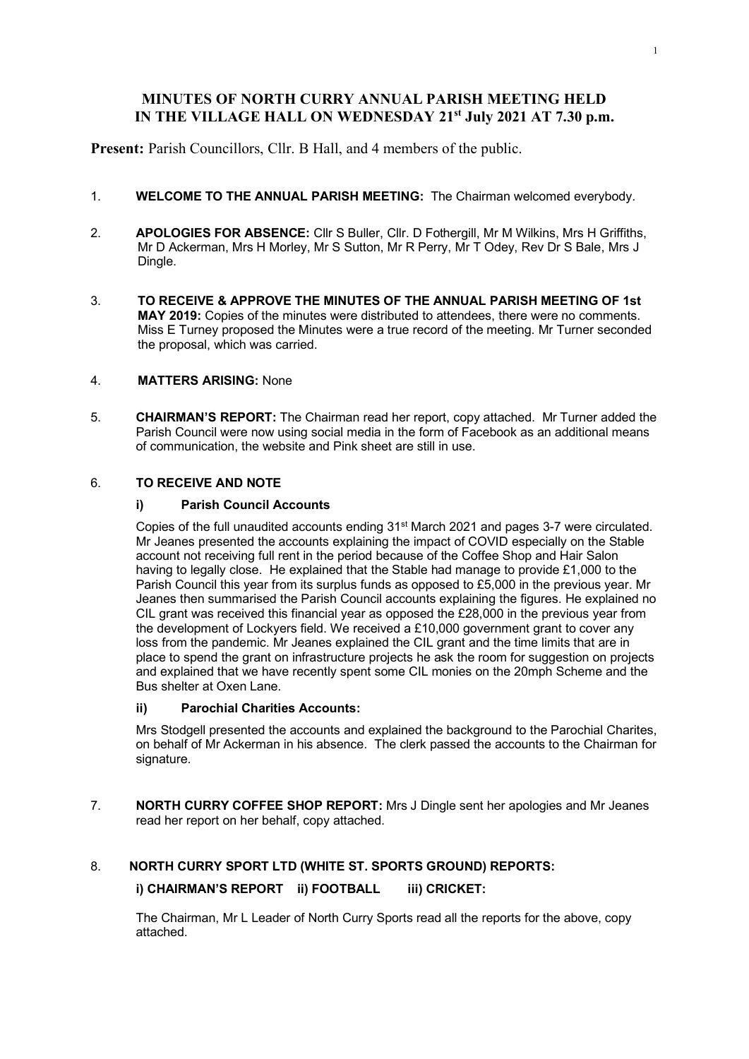# **MINUTES OF NORTH CURRY ANNUAL PARISH MEETING HELD IN THE VILLAGE HALL ON WEDNESDAY 21 st July 2021 AT 7.30 p.m.**

**Present:** Parish Councillors, Cllr. B Hall, and 4 members of the public.

- 1. **WELCOME TO THE ANNUAL PARISH MEETING:** The Chairman welcomed everybody.
- 2. **APOLOGIES FOR ABSENCE:** Cllr S Buller, Cllr. D Fothergill, Mr M Wilkins, Mrs H Griffiths, Mr D Ackerman, Mrs H Morley, Mr S Sutton, Mr R Perry, Mr T Odey, Rev Dr S Bale, Mrs J Dingle.
- 3. **TO RECEIVE & APPROVE THE MINUTES OF THE ANNUAL PARISH MEETING OF 1st MAY 2019:** Copies of the minutes were distributed to attendees, there were no comments. Miss E Turney proposed the Minutes were a true record of the meeting. Mr Turner seconded the proposal, which was carried.

## 4. **MATTERS ARISING:** None

5. **CHAIRMAN'S REPORT:** The Chairman read her report, copy attached. Mr Turner added the Parish Council were now using social media in the form of Facebook as an additional means of communication, the website and Pink sheet are still in use.

### 6. **TO RECEIVE AND NOTE**

### **i) Parish Council Accounts**

Copies of the full unaudited accounts ending 31st March 2021 and pages 3-7 were circulated. Mr Jeanes presented the accounts explaining the impact of COVID especially on the Stable account not receiving full rent in the period because of the Coffee Shop and Hair Salon having to legally close. He explained that the Stable had manage to provide £1,000 to the Parish Council this year from its surplus funds as opposed to £5,000 in the previous year. Mr Jeanes then summarised the Parish Council accounts explaining the figures. He explained no CIL grant was received this financial year as opposed the £28,000 in the previous year from the development of Lockyers field. We received a £10,000 government grant to cover any loss from the pandemic. Mr Jeanes explained the CIL grant and the time limits that are in place to spend the grant on infrastructure projects he ask the room for suggestion on projects and explained that we have recently spent some CIL monies on the 20mph Scheme and the Bus shelter at Oxen Lane.

### **ii) Parochial Charities Accounts:**

Mrs Stodgell presented the accounts and explained the background to the Parochial Charites, on behalf of Mr Ackerman in his absence. The clerk passed the accounts to the Chairman for signature.

7. **NORTH CURRY COFFEE SHOP REPORT:** Mrs J Dingle sent her apologies and Mr Jeanes read her report on her behalf, copy attached.

# 8. **NORTH CURRY SPORT LTD (WHITE ST. SPORTS GROUND) REPORTS: i) CHAIRMAN'S REPORT ii) FOOTBALL iii) CRICKET:**

The Chairman, Mr L Leader of North Curry Sports read all the reports for the above, copy attached.